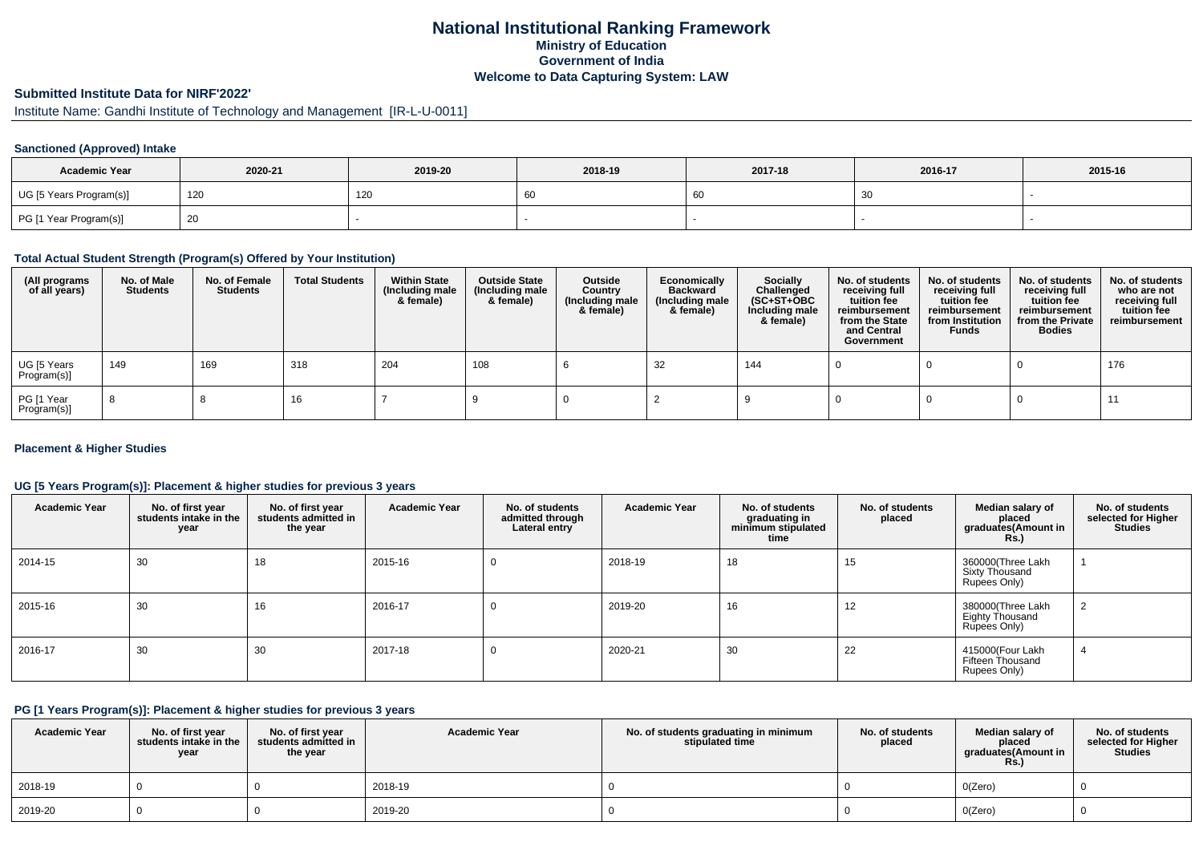## **National Institutional Ranking FrameworkMinistry of Education Government of IndiaWelcome to Data Capturing System: LAW**

## **Submitted Institute Data for NIRF'2022'**

# Institute Name: Gandhi Institute of Technology and Management [IR-L-U-0011]

## **Sanctioned (Approved) Intake**

| <b>Academic Year</b>    | 2020-21 | 2019-20 | 2018-19 | 2017-18 | 2016-17 | 2015-16 |
|-------------------------|---------|---------|---------|---------|---------|---------|
| UG [5 Years Program(s)] | 120     | 120     | 60      |         | 30      |         |
| PG [1 Year Program(s)]  | 20      |         |         |         |         |         |

#### **Total Actual Student Strength (Program(s) Offered by Your Institution)**

| (All programs<br>of all years) | No. of Male<br><b>Students</b> | No. of Female<br>Students | <b>Total Students</b> | <b>Within State</b><br>(Including male<br>& female) | <b>Outside State</b><br>(Including male<br>& female) | Outside<br>Country<br>(Including male<br>& female) | Economically<br><b>Backward</b><br>(Including male<br>& female) | <b>Socially</b><br>Challenged<br>$(SC+ST+OBC)$<br>Including male<br>& female) | No. of students<br>receiving full<br>tuition fee<br>reimbursement<br>from the State<br>and Central<br>Government | No. of students<br>receiving full<br>tuition fee<br>reimbursement<br>from Institution<br><b>Funds</b> | No. of students<br>receiving full<br>tuition fee<br>reimbursement<br>from the Private<br><b>Bodies</b> | No. of students<br>who are not<br>receiving full<br>tuition fee<br>reimbursement |
|--------------------------------|--------------------------------|---------------------------|-----------------------|-----------------------------------------------------|------------------------------------------------------|----------------------------------------------------|-----------------------------------------------------------------|-------------------------------------------------------------------------------|------------------------------------------------------------------------------------------------------------------|-------------------------------------------------------------------------------------------------------|--------------------------------------------------------------------------------------------------------|----------------------------------------------------------------------------------|
| UG [5 Years<br>Program(s)]     | 149                            | 169                       | 318                   | 204                                                 | 108                                                  |                                                    | 32                                                              | 144                                                                           |                                                                                                                  |                                                                                                       |                                                                                                        | 176                                                                              |
| PG [1 Year<br>Program(s)]      | -8                             |                           | 16                    |                                                     |                                                      |                                                    |                                                                 |                                                                               |                                                                                                                  |                                                                                                       |                                                                                                        |                                                                                  |

#### **Placement & Higher Studies**

#### **UG [5 Years Program(s)]: Placement & higher studies for previous 3 years**

| <b>Academic Year</b> | No. of first year<br>students intake in the<br>year | No. of first year<br>students admitted in<br>the year | <b>Academic Year</b> | No. of students<br>admitted through<br>Lateral entry | <b>Academic Year</b> | No. of students<br>graduating in<br>minimum stipulated<br>time | No. of students<br>placed | Median salary of<br>placed<br>graduates(Amount in<br><b>Rs.)</b> | No. of students<br>selected for Higher<br><b>Studies</b> |
|----------------------|-----------------------------------------------------|-------------------------------------------------------|----------------------|------------------------------------------------------|----------------------|----------------------------------------------------------------|---------------------------|------------------------------------------------------------------|----------------------------------------------------------|
| 2014-15              | 30                                                  | 18                                                    | 2015-16              | 0                                                    | 2018-19              | 18                                                             | 15                        | 360000(Three Lakh<br>Sixty Thousand<br>Rupees Only)              |                                                          |
| 2015-16              | 30                                                  | 16                                                    | 2016-17              | 0                                                    | 2019-20              | 16                                                             | 12                        | 380000(Three Lakh<br>Eighty Thousand<br>Rupees Only)             | ∠                                                        |
| 2016-17              | 30                                                  | 30                                                    | 2017-18              | 0                                                    | 2020-21              | 30                                                             | 22                        | 415000(Four Lakh<br>Fifteen Thousand<br>Rupees Only)             |                                                          |

#### **PG [1 Years Program(s)]: Placement & higher studies for previous 3 years**

| <b>Academic Year</b> | No. of first year<br>students intake in the<br>year | No. of first year<br>students admitted in<br>the year | <b>Academic Year</b> | No. of students graduating in minimum<br>stipulated time | No. of students<br>placed | Median salary of<br>placed<br>graduates(Amount in<br><b>Rs.)</b> | No. of students<br>selected for Higher<br><b>Studies</b> |
|----------------------|-----------------------------------------------------|-------------------------------------------------------|----------------------|----------------------------------------------------------|---------------------------|------------------------------------------------------------------|----------------------------------------------------------|
| 2018-19              |                                                     |                                                       | 2018-19              |                                                          |                           | O(Zero)                                                          |                                                          |
| 2019-20              |                                                     |                                                       | 2019-20              |                                                          |                           | O(Zero)                                                          |                                                          |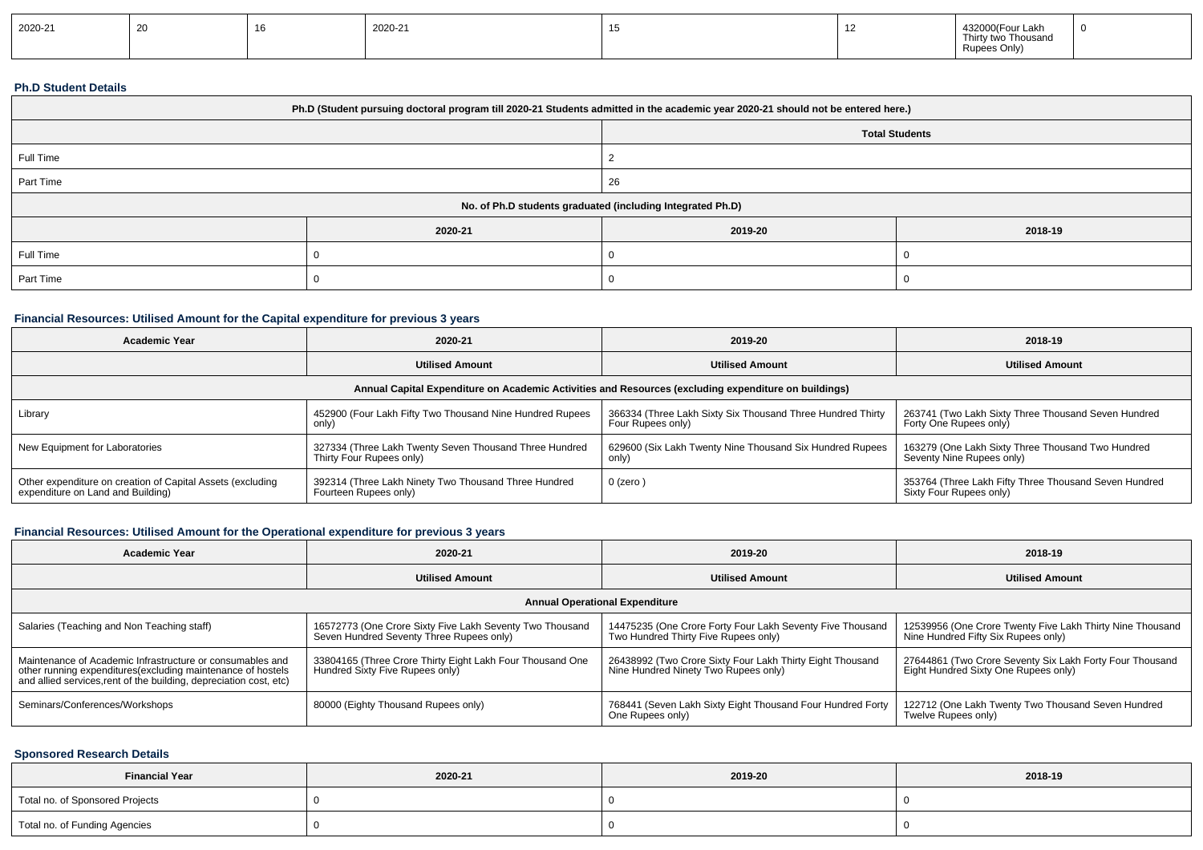| 2020-21 |  |  | 2020-21 |  |  | 432000(Four Lakh<br><b>Thirty</b><br>o Thousand<br>Rupee: |  |
|---------|--|--|---------|--|--|-----------------------------------------------------------|--|
|---------|--|--|---------|--|--|-----------------------------------------------------------|--|

#### **Ph.D Student Details**

| Ph.D (Student pursuing doctoral program till 2020-21 Students admitted in the academic year 2020-21 should not be entered here.) |                                                            |                       |         |  |  |
|----------------------------------------------------------------------------------------------------------------------------------|------------------------------------------------------------|-----------------------|---------|--|--|
|                                                                                                                                  |                                                            | <b>Total Students</b> |         |  |  |
| Full Time                                                                                                                        |                                                            |                       |         |  |  |
| Part Time                                                                                                                        |                                                            | 26                    |         |  |  |
|                                                                                                                                  | No. of Ph.D students graduated (including Integrated Ph.D) |                       |         |  |  |
|                                                                                                                                  | 2020-21                                                    | 2019-20               | 2018-19 |  |  |
| Full Time                                                                                                                        |                                                            |                       |         |  |  |
| Part Time                                                                                                                        |                                                            |                       |         |  |  |

## **Financial Resources: Utilised Amount for the Capital expenditure for previous 3 years**

| <b>Academic Year</b>                                                                                 | 2020-21                                                  | 2019-20                                                    | 2018-19                                               |  |  |  |  |
|------------------------------------------------------------------------------------------------------|----------------------------------------------------------|------------------------------------------------------------|-------------------------------------------------------|--|--|--|--|
|                                                                                                      | <b>Utilised Amount</b>                                   | <b>Utilised Amount</b>                                     | <b>Utilised Amount</b>                                |  |  |  |  |
| Annual Capital Expenditure on Academic Activities and Resources (excluding expenditure on buildings) |                                                          |                                                            |                                                       |  |  |  |  |
| Library                                                                                              | 452900 (Four Lakh Fifty Two Thousand Nine Hundred Rupees | 366334 (Three Lakh Sixty Six Thousand Three Hundred Thirty | 263741 (Two Lakh Sixty Three Thousand Seven Hundred   |  |  |  |  |
|                                                                                                      | only)                                                    | Four Rupees only)                                          | Forty One Rupees only)                                |  |  |  |  |
| New Equipment for Laboratories                                                                       | 327334 (Three Lakh Twenty Seven Thousand Three Hundred   | 629600 (Six Lakh Twenty Nine Thousand Six Hundred Rupees   | 163279 (One Lakh Sixty Three Thousand Two Hundred     |  |  |  |  |
|                                                                                                      | Thirty Four Rupees only)                                 | only)                                                      | Seventy Nine Rupees only)                             |  |  |  |  |
| Other expenditure on creation of Capital Assets (excluding                                           | 392314 (Three Lakh Ninety Two Thousand Three Hundred     | 0 (zero)                                                   | 353764 (Three Lakh Fifty Three Thousand Seven Hundred |  |  |  |  |
| expenditure on Land and Building)                                                                    | Fourteen Rupees only)                                    |                                                            | Sixty Four Rupees only)                               |  |  |  |  |

### **Financial Resources: Utilised Amount for the Operational expenditure for previous 3 years**

| <b>Academic Year</b>                                                                                                                                                                            | 2020-21                                                                                              | 2019-20                                                                                           | 2018-19                                                                                          |  |  |  |  |
|-------------------------------------------------------------------------------------------------------------------------------------------------------------------------------------------------|------------------------------------------------------------------------------------------------------|---------------------------------------------------------------------------------------------------|--------------------------------------------------------------------------------------------------|--|--|--|--|
|                                                                                                                                                                                                 | <b>Utilised Amount</b>                                                                               | <b>Utilised Amount</b>                                                                            | <b>Utilised Amount</b>                                                                           |  |  |  |  |
| <b>Annual Operational Expenditure</b>                                                                                                                                                           |                                                                                                      |                                                                                                   |                                                                                                  |  |  |  |  |
| Salaries (Teaching and Non Teaching staff)                                                                                                                                                      | 16572773 (One Crore Sixty Five Lakh Seventy Two Thousand<br>Seven Hundred Seventy Three Rupees only) | 14475235 (One Crore Forty Four Lakh Seventy Five Thousand<br>Two Hundred Thirty Five Rupees only) | 12539956 (One Crore Twenty Five Lakh Thirty Nine Thousand<br>Nine Hundred Fifty Six Rupees only) |  |  |  |  |
| Maintenance of Academic Infrastructure or consumables and<br>other running expenditures (excluding maintenance of hostels<br>and allied services, rent of the building, depreciation cost, etc) | 33804165 (Three Crore Thirty Eight Lakh Four Thousand One<br>Hundred Sixty Five Rupees only)         | 26438992 (Two Crore Sixty Four Lakh Thirty Eight Thousand<br>Nine Hundred Ninety Two Rupees only) | 27644861 (Two Crore Seventy Six Lakh Forty Four Thousand<br>Eight Hundred Sixty One Rupees only) |  |  |  |  |
| Seminars/Conferences/Workshops                                                                                                                                                                  | 80000 (Eighty Thousand Rupees only)                                                                  | 768441 (Seven Lakh Sixty Eight Thousand Four Hundred Forty<br>One Rupees only)                    | 122712 (One Lakh Twenty Two Thousand Seven Hundred<br>Twelve Rupees only)                        |  |  |  |  |

### **Sponsored Research Details**

| <b>Financial Year</b>           | 2020-21 | 2019-20 | 2018-19 |
|---------------------------------|---------|---------|---------|
| Total no. of Sponsored Projects |         |         |         |
| Total no. of Funding Agencies   |         |         |         |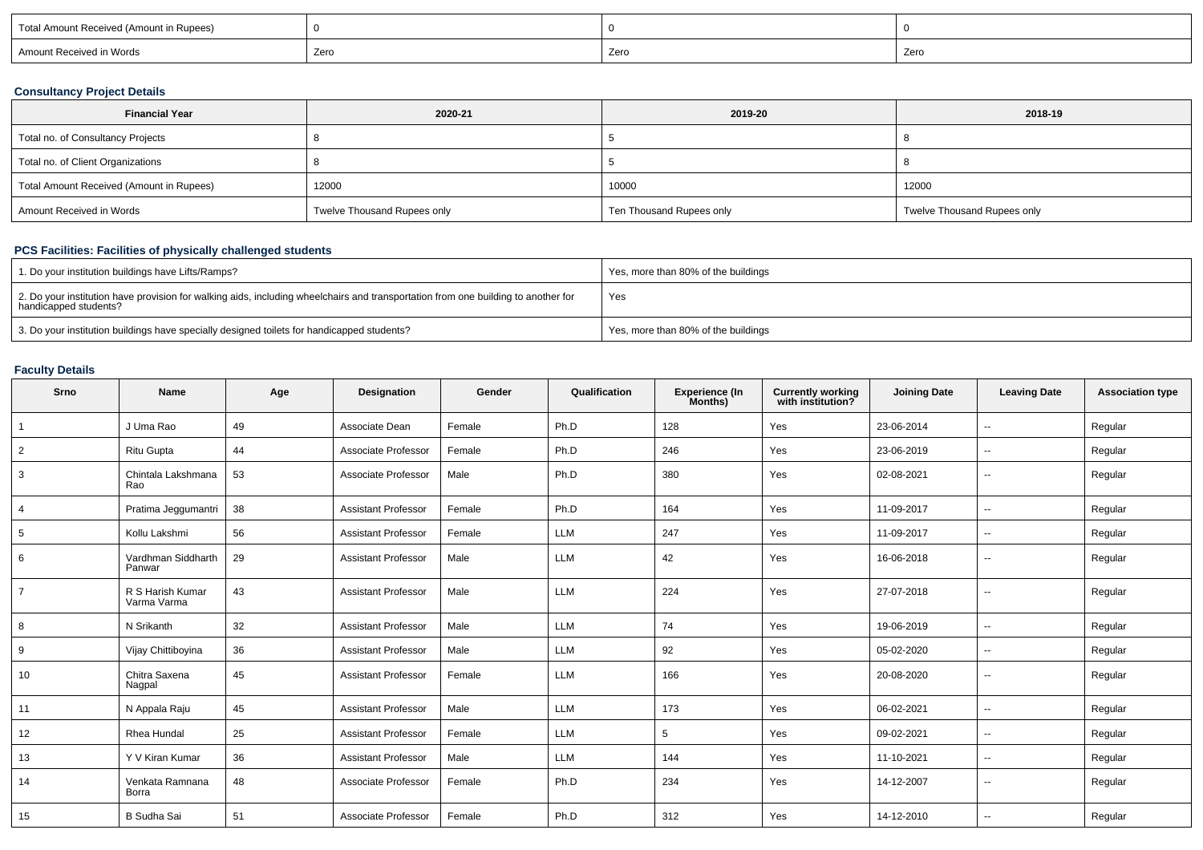| Total Amount Received (Amount in Rupees) |      |      |      |
|------------------------------------------|------|------|------|
| Amount Received in Words                 | Zero | Zero | Zero |

## **Consultancy Project Details**

| <b>Financial Year</b>                    | 2020-21                     | 2019-20                  | 2018-19                     |
|------------------------------------------|-----------------------------|--------------------------|-----------------------------|
| Total no. of Consultancy Projects        |                             |                          |                             |
| Total no. of Client Organizations        |                             |                          |                             |
| Total Amount Received (Amount in Rupees) | 12000                       | 10000                    | 12000                       |
| Amount Received in Words                 | Twelve Thousand Rupees only | Ten Thousand Rupees only | Twelve Thousand Rupees only |

## **PCS Facilities: Facilities of physically challenged students**

| 1. Do your institution buildings have Lifts/Ramps?                                                                                                         | Yes, more than 80% of the buildings |
|------------------------------------------------------------------------------------------------------------------------------------------------------------|-------------------------------------|
| 2. Do your institution have provision for walking aids, including wheelchairs and transportation from one building to another for<br>handicapped students? | Yes                                 |
| 3. Do your institution buildings have specially designed toilets for handicapped students?                                                                 | Yes, more than 80% of the buildings |

## **Faculty Details**

| Srno           | Name                            | Age | Designation                | Gender | Qualification | Experience (In<br>Months) | <b>Currently working</b><br>with institution? | <b>Joining Date</b> | <b>Leaving Date</b> | <b>Association type</b> |
|----------------|---------------------------------|-----|----------------------------|--------|---------------|---------------------------|-----------------------------------------------|---------------------|---------------------|-------------------------|
| $\overline{1}$ | J Uma Rao                       | 49  | Associate Dean             | Female | Ph.D          | 128                       | Yes                                           | 23-06-2014          | $\sim$              | Regular                 |
| 2              | <b>Ritu Gupta</b>               | 44  | Associate Professor        | Female | Ph.D          | 246                       | Yes                                           | 23-06-2019          | $\sim$              | Regular                 |
| 3              | Chintala Lakshmana<br>Rao       | 53  | Associate Professor        | Male   | Ph.D          | 380                       | Yes                                           | 02-08-2021          | $\sim$              | Regular                 |
| $\overline{4}$ | Pratima Jeggumantri             | 38  | <b>Assistant Professor</b> | Female | Ph.D          | 164                       | Yes                                           | 11-09-2017          | $\sim$              | Regular                 |
| 5              | Kollu Lakshmi                   | 56  | <b>Assistant Professor</b> | Female | <b>LLM</b>    | 247                       | Yes                                           | 11-09-2017          | $\sim$              | Regular                 |
| 6              | Vardhman Siddharth<br>Panwar    | 29  | <b>Assistant Professor</b> | Male   | <b>LLM</b>    | 42                        | Yes                                           | 16-06-2018          | $\sim$              | Regular                 |
| $\overline{7}$ | R S Harish Kumar<br>Varma Varma | 43  | <b>Assistant Professor</b> | Male   | <b>LLM</b>    | 224                       | Yes                                           | 27-07-2018          | $\sim$              | Regular                 |
| 8              | N Srikanth                      | 32  | <b>Assistant Professor</b> | Male   | <b>LLM</b>    | 74                        | Yes                                           | 19-06-2019          | $\sim$              | Regular                 |
| 9              | Vijay Chittiboyina              | 36  | <b>Assistant Professor</b> | Male   | <b>LLM</b>    | 92                        | Yes                                           | 05-02-2020          | $\sim$              | Regular                 |
| 10             | Chitra Saxena<br>Nagpal         | 45  | <b>Assistant Professor</b> | Female | <b>LLM</b>    | 166                       | Yes                                           | 20-08-2020          | $\sim$              | Regular                 |
| 11             | N Appala Raju                   | 45  | <b>Assistant Professor</b> | Male   | LLM           | 173                       | Yes                                           | 06-02-2021          | $\sim$              | Regular                 |
| 12             | Rhea Hundal                     | 25  | <b>Assistant Professor</b> | Female | <b>LLM</b>    | 5                         | Yes                                           | 09-02-2021          | $\sim$              | Regular                 |
| 13             | Y V Kiran Kumar                 | 36  | <b>Assistant Professor</b> | Male   | LLM           | 144                       | Yes                                           | 11-10-2021          | $\sim$              | Regular                 |
| 14             | Venkata Ramnana<br>Borra        | 48  | Associate Professor        | Female | Ph.D          | 234                       | Yes                                           | 14-12-2007          | $\sim$              | Regular                 |
| 15             | <b>B</b> Sudha Sai              | 51  | Associate Professor        | Female | Ph.D          | 312                       | Yes                                           | 14-12-2010          | $\sim$              | Regular                 |